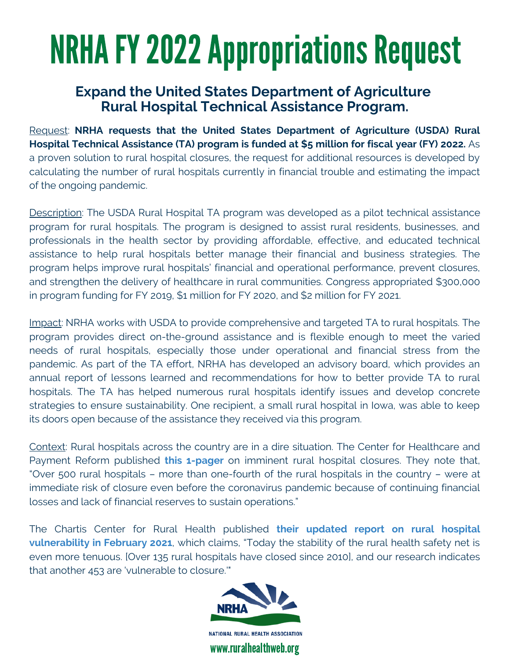### **Rural Hospital Technical Assistance Program. Expand the United States Department of Agriculture**

Request: **NRHA requests that the United States Department of Agriculture (USDA) Rural Hospital Technical Assistance (TA) program is funded at \$5 million for fiscal year (FY) 2022.** As a proven solution to rural hospital closures, the request for additional resources is developed by calculating the number of rural hospitals currently in financial trouble and estimating the impact of the ongoing pandemic.

Description: The USDA Rural Hospital TA program was developed as a pilot technical assistance program for rural hospitals. The program is designed to assist rural residents, businesses, and professionals in the health sector by providing affordable, effective, and educated technical assistance to help rural hospitals better manage their financial and business strategies. The program helps improve rural hospitals' financial and operational performance, prevent closures, and strengthen the delivery of healthcare in rural communities. Congress appropriated \$300,000 in program funding for FY 2019, \$1 million for FY 2020, and \$2 million for FY 2021.

Impact: NRHA works with USDA to provide comprehensive and targeted TA to rural hospitals. The program provides direct on-the-ground assistance and is flexible enough to meet the varied needs of rural hospitals, especially those under operational and financial stress from the pandemic. As part of the TA effort, NRHA has developed an advisory board, which provides an annual report of lessons learned and recommendations for how to better provide TA to rural hospitals. The TA has helped numerous rural hospitals identify issues and develop concrete strategies to ensure sustainability. One recipient, a small rural hospital in Iowa, was able to keep its doors open because of the assistance they received via this program.

Context: Rural hospitals across the country are in a dire situation. The Center for Healthcare and Payment Reform published **this [1-pager](https://www.chqpr.org/downloads/Rural_Hospitals_at_Risk_of_Closing.pdf)** on imminent rural hospital closures. They note that, "Over 500 rural hospitals – more than one-fourth of the rural hospitals in the country – were at immediate risk of closure even before the coronavirus pandemic because of continuing financial losses and lack of financial reserves to sustain operations."

The Chartis Center for Rural Health published **their updated report on rural hospital [vulnerability](https://www.chartis.com/resources/files/Crises-Collide-Rural-Health-Safety-Net-Report-Feb-2021.pdf) in February 2021**, which claims, "Today the stability of the rural health safety net is even more tenuous. [Over 135 rural hospitals have closed since 2010], and our research indicates that another 453 are 'vulnerable to closure.'"

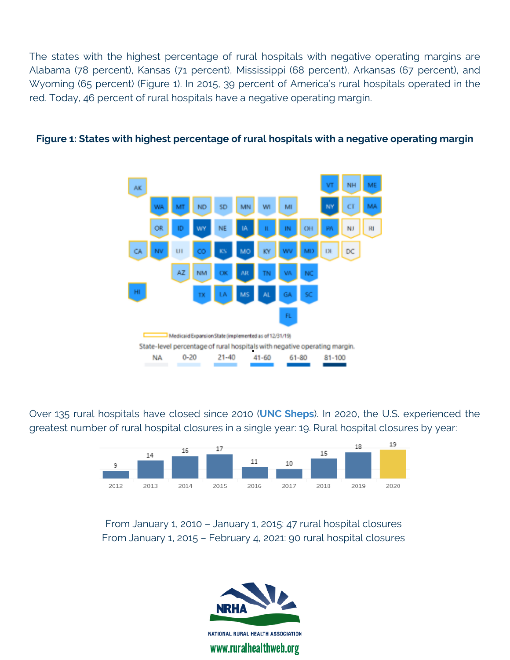The states with the highest percentage of rural hospitals with negative operating margins are Alabama (78 percent), Kansas (71 percent), Mississippi (68 percent), Arkansas (67 percent), and Wyoming (65 percent) (Figure 1). In 2015, 39 percent of America's rural hospitals operated in the red. Today, 46 percent of rural hospitals have a negative operating margin.



#### **Figure 1: States with highest percentage of rural hospitals with a negative operating margin**

Over 135 rural hospitals have closed since 2010 (**UNC [Sheps](https://www.shepscenter.unc.edu/programs-projects/rural-health/rural-hospital-closures/)**). In 2020, the U.S. experienced the greatest number of rural hospital closures in a single year: 19. Rural hospital closures by year:



From January 1, 2010 – January 1, 2015: 47 rural hospital closures From January 1, 2015 – February 4, 2021: 90 rural hospital closures

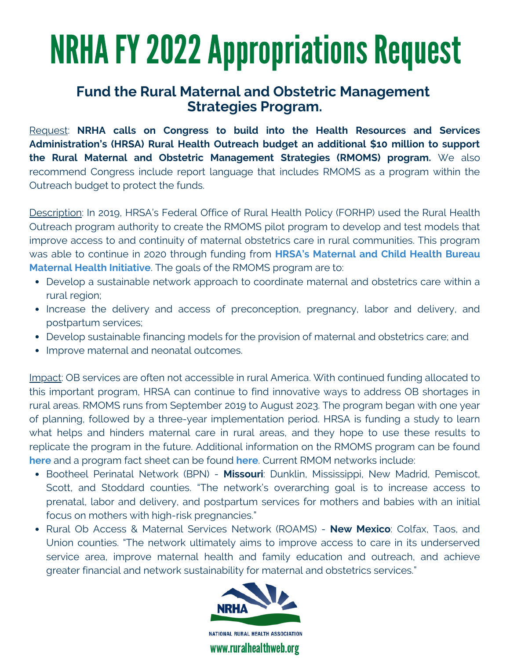### **Strategies Program. Fund the Rural Maternal and Obstetric Management**

Request: **NRHA calls on Congress to build into the Health Resources and Services Administration's (HRSA) Rural Health Outreach budget an additional \$10 million to support the Rural Maternal and Obstetric Management Strategies (RMOMS) program.** We also recommend Congress include report language that includes RMOMS as a program within the Outreach budget to protect the funds.

Description: In 2019, HRSA's Federal Office of Rural Health Policy (FORHP) used the Rural Health Outreach program authority to create the RMOMS pilot program to develop and test models that improve access to and continuity of maternal obstetrics care in rural communities. This program was able to continue in 2020 through [funding from](https://public3.pagefreezer.com/browse/HHS.gov/31-12-2020T08:51/https:/www.hhs.gov/about/news/2019/09/10/hhs-awards-9-million-new-models-obstetrics-care-rural-communities.html) **HRSA's Maternal and Child Health Bureau Maternal Health Initiative**. The goals of the RMOMS program are to:

- Develop a sustainable network approach to coordinate maternal and obstetrics care within a rural region;
- Increase the delivery and access of preconception, pregnancy, labor and delivery, and postpartum services;
- Develop sustainable financing models for the provision of maternal and obstetrics care; and
- Improve maternal and neonatal outcomes.

Impact: OB services are often not accessible in rural America. With continued funding allocated to this important program, HRSA can continue to find innovative ways to address OB shortages in rural areas. RMOMS runs from September 2019 to August 2023. The program began with one year of planning, followed by a three-year implementation period. HRSA is funding a study to learn what helps and hinders maternal care in rural areas, and they hope to use these results to replicate the program in the future. Additional information on the RMOMS program can be found **[here](https://www.hrsa.gov/rural-health/community/rmoms)** and a program fact sheet can be found **[here](https://www.hrsa.gov/sites/default/files/hrsa/ruralhealth/rmoms-fact-sheet.pdf)**. Current RMOM networks include:

- Bootheel Perinatal Network (BPN) **Missouri**: Dunklin, Mississippi, New Madrid, Pemiscot, Scott, and Stoddard counties. "The network's overarching goal is to increase access to prenatal, labor and delivery, and postpartum services for mothers and babies with an initial focus on mothers with high-risk pregnancies."
- Rural Ob Access & Maternal Services Network (ROAMS) **New Mexico**: Colfax, Taos, and Union counties. "The network ultimately aims to improve access to care in its underserved service area, improve maternal health and family education and outreach, and achieve greater financial and network sustainability for maternal and obstetrics services."

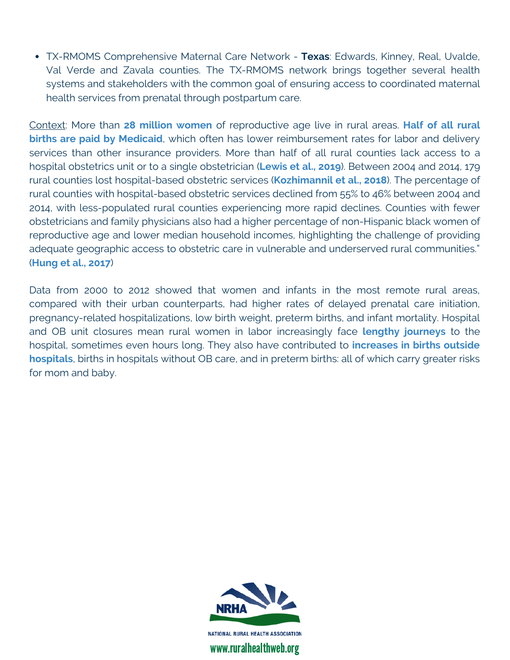TX-RMOMS Comprehensive Maternal Care Network - **Texas**: Edwards, Kinney, Real, Uvalde, Val Verde and Zavala counties. The TX-RMOMS network brings together several health systems and stakeholders with the common goal of ensuring access to coordinated maternal health services from prenatal through postpartum care.

Context: More than **28 million [women](https://www.ruralhealthweb.org/blogs/ruralhealthvoices/december-2017/revealing-the-scope-of-rural-ob-unit-closures)** of reproductive age live in rural areas. **Half of all rural births are paid by Medicaid**, which often has lower [reimbursement](https://pubmed.ncbi.nlm.nih.gov/24483138/) rates for labor and delivery services than other insurance providers. More than half of all rural counties lack access to a hospital obstetrics unit or to a single obstetrician (**[Lewis](https://www.commonwealthfund.org/blog/2019/rural-maternity-care-crisis) et al., 2019**). Between 2004 and 2014, 179 rural counties lost hospital-based obstetric services (**[Kozhimannil](https://www.ncbi.nlm.nih.gov/pmc/articles/PMC5885848/) et al., 2018**). The percentage of rural counties with hospital-based obstetric services declined from 55% to 46% between 2004 and 2014, with less-populated rural counties experiencing more rapid declines. Counties with fewer obstetricians and family physicians also had a higher percentage of non-Hispanic black women of reproductive age and lower median household incomes, highlighting the challenge of providing adequate geographic access to obstetric care in vulnerable and underserved rural communities." (**[Hung](https://www.healthaffairs.org/doi/full/10.1377/hlthaff.2017.0338) et al., 2017**)

Data from 2000 to 2012 showed that women and infants in the most remote rural areas, compared with their urban counterparts, had higher rates of delayed prenatal care initiation, pregnancy-related hospitalizations, low birth weight, preterm births, and infant mortality. Hospital and OB unit closures mean rural women in labor increasingly face **lengthy [journeys](https://www.ncbi.nlm.nih.gov/pmc/articles/PMC4946037/)** to the hospital, sometimes even hours long. They also have [contributed](https://www.ncbi.nlm.nih.gov/pubmed/29522161) to **increases in births outside hospitals**, births in hospitals without OB care, and in preterm births: all of which carry greater risks for mom and baby.

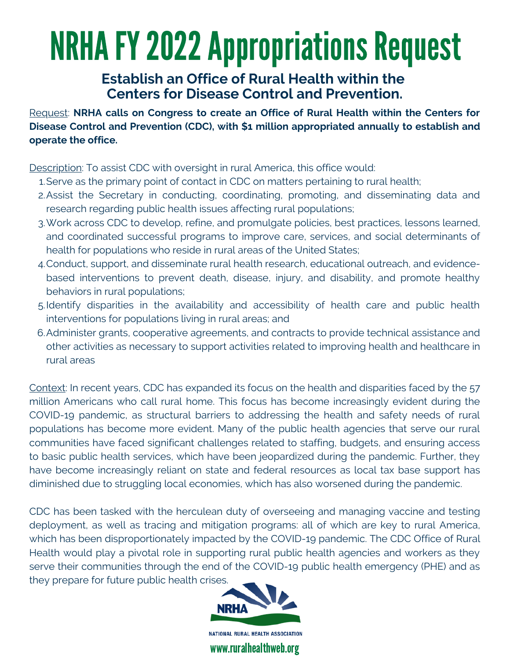### **Centers for Disease Control and Prevention. Establish an Office of Rural Health within the**

Request: **NRHA calls on Congress to create an Office of Rural Health within the Centers for Disease Control and Prevention (CDC), with \$1 million appropriated annually to establish and operate the office.**

Description: To assist CDC with oversight in rural America, this office would:

- Serve as the primary point of contact in CDC on matters pertaining to rural health; 1.
- Assist the Secretary in conducting, coordinating, promoting, and disseminating data and 2. research regarding public health issues affecting rural populations;
- Work across CDC to develop, refine, and promulgate policies, best practices, lessons learned, 3. and coordinated successful programs to improve care, services, and social determinants of health for populations who reside in rural areas of the United States;
- Conduct, support, and disseminate rural health research, educational outreach, and evidence-4. based interventions to prevent death, disease, injury, and disability, and promote healthy behaviors in rural populations;
- 5.Identify disparities in the availability and accessibility of health care and public health interventions for populations living in rural areas; and
- Administer grants, cooperative agreements, and contracts to provide technical assistance and 6. other activities as necessary to support activities related to improving health and healthcare in rural areas

Context: In recent years, CDC has expanded its focus on the health and disparities faced by the 57 million Americans who call rural home. This focus has become increasingly evident during the COVID-19 pandemic, as structural barriers to addressing the health and safety needs of rural populations has become more evident. Many of the public health agencies that serve our rural communities have faced significant challenges related to staffing, budgets, and ensuring access to basic public health services, which have been jeopardized during the pandemic. Further, they have become increasingly reliant on state and federal resources as local tax base support has diminished due to struggling local economies, which has also worsened during the pandemic.

CDC has been tasked with the herculean duty of overseeing and managing vaccine and testing deployment, as well as tracing and mitigation programs: all of which are key to rural America, which has been disproportionately impacted by the COVID-19 pandemic. The CDC Office of Rural Health would play a pivotal role in supporting rural public health agencies and workers as they serve their communities through the end of the COVID-19 public health emergency (PHE) and as they prepare for future public health crises.

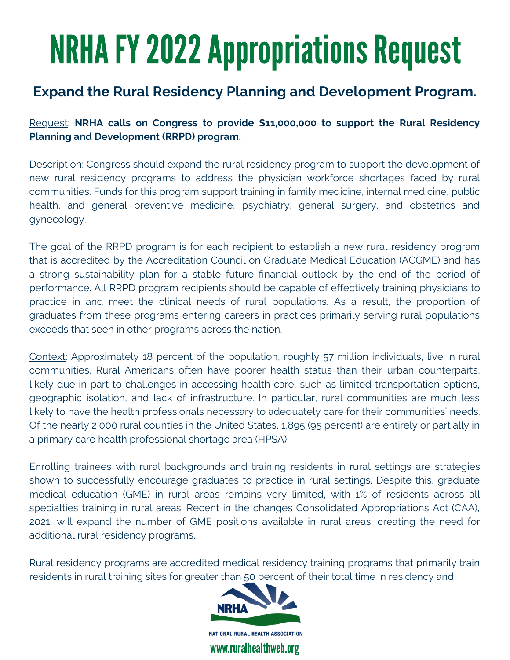### **Expand the Rural Residency Planning and Development Program.**

Request: **NRHA calls on Congress to provide \$11,000,000 to support the Rural Residency Planning and Development (RRPD) program.**

Description: Congress should expand the rural residency program to support the development of new rural residency programs to address the physician workforce shortages faced by rural communities. Funds for this program support training in family medicine, internal medicine, public health, and general preventive medicine, psychiatry, general surgery, and obstetrics and gynecology.

The goal of the RRPD program is for each recipient to establish a new rural residency program that is accredited by the Accreditation Council on Graduate Medical Education (ACGME) and has a strong sustainability plan for a stable future financial outlook by the end of the period of performance. All RRPD program recipients should be capable of effectively training physicians to practice in and meet the clinical needs of rural populations. As a result, the proportion of graduates from these programs entering careers in practices primarily serving rural populations exceeds that seen in other programs across the nation.

Context: Approximately 18 percent of the population, roughly 57 million individuals, live in rural communities. Rural Americans often have poorer health status than their urban counterparts, likely due in part to challenges in accessing health care, such as limited transportation options, geographic isolation, and lack of infrastructure. In particular, rural communities are much less likely to have the health professionals necessary to adequately care for their communities' needs. Of the nearly 2,000 rural counties in the United States, 1,895 (95 percent) are entirely or partially in a primary care health professional shortage area (HPSA).

Enrolling trainees with rural backgrounds and training residents in rural settings are strategies shown to successfully encourage graduates to practice in rural settings. Despite this, graduate medical education (GME) in rural areas remains very limited, with 1% of residents across all specialties training in rural areas. Recent in the changes Consolidated Appropriations Act (CAA), 2021, will expand the number of GME positions available in rural areas, creating the need for additional rural residency programs.

Rural residency programs are accredited medical residency training programs that primarily train residents in rural training sites for greater than 50 percent of their total time in residency and

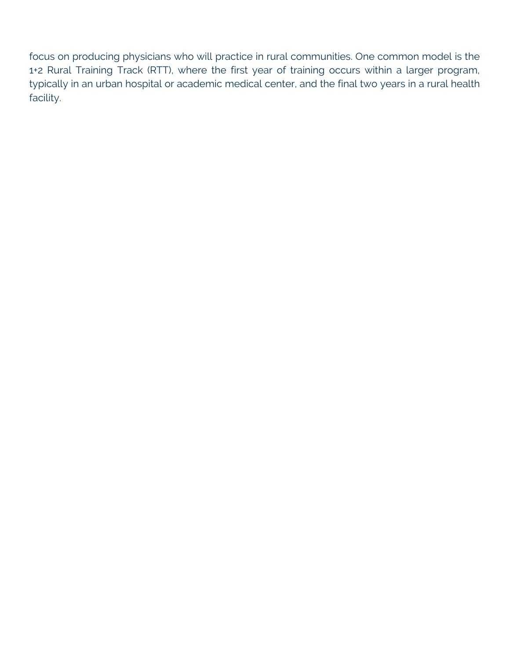focus on producing physicians who will practice in rural communities. One common model is the 1+2 Rural Training Track (RTT), where the first year of training occurs within a larger program, typically in an urban hospital or academic medical center, and the final two years in a rural health facility.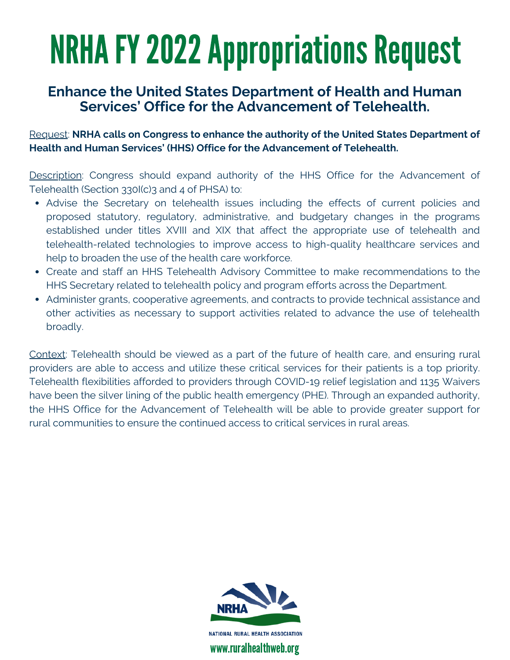### **Enhance the United States Department of Health and Human Services' Office for the Advancement of Telehealth.**

Request: **NRHA calls on Congress to enhance the authority of the United States Department of Health and Human Services' (HHS) Office for the Advancement of Telehealth.**

Description: Congress should expand authority of the HHS Office for the Advancement of Telehealth (Section 330I(c)3 and 4 of PHSA) to:

- Advise the Secretary on telehealth issues including the effects of current policies and proposed statutory, regulatory, administrative, and budgetary changes in the programs established under titles XVIII and XIX that affect the appropriate use of telehealth and telehealth-related technologies to improve access to high-quality healthcare services and help to broaden the use of the health care workforce.
- Create and staff an HHS Telehealth Advisory Committee to make recommendations to the HHS Secretary related to telehealth policy and program efforts across the Department.
- Administer grants, cooperative agreements, and contracts to provide technical assistance and other activities as necessary to support activities related to advance the use of telehealth broadly.

Context: Telehealth should be viewed as a part of the future of health care, and ensuring rural providers are able to access and utilize these critical services for their patients is a top priority. Telehealth flexibilities afforded to providers through COVID-19 relief legislation and 1135 Waivers have been the silver lining of the public health emergency (PHE). Through an expanded authority, the HHS Office for the Advancement of Telehealth will be able to provide greater support for rural communities to ensure the continued access to critical services in rural areas.

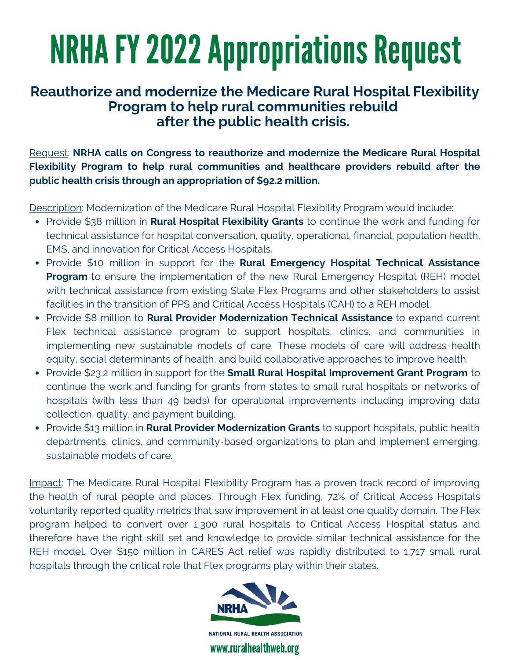### **after the public health crisis. Reauthorize and modernize the Medicare Rural Hospital Flexibility Program to help rural communities rebuild**

Request: **NRHA calls on Congress to reauthorize and modernize the Medicare Rural Hospital Flexibility Program to help rural communities and healthcare providers rebuild after the public health crisis through an appropriation of \$92.2 million.**

Description: Modernization of the Medicare Rural Hospital Flexibility Program would include:

- Provide \$38 million in **Rural Hospital Flexibility Grants** to continue the work and funding for technical assistance for hospital conversation, quality, operational, financial, population health, EMS, and innovation for Critical Access Hospitals.
- Provide \$10 million in support for the **Rural Emergency Hospital Technical Assistance Program** to ensure the implementation of the new Rural Emergency Hospital (REH) model with technical assistance from existing State Flex Programs and other stakeholders to assist facilities in the transition of PPS and Critical Access Hospitals (CAH) to a REH model.
- Provide \$8 million to **Rural Provider Modernization Technical Assistance** to expand current Flex technical assistance program to support hospitals, clinics, and communities in implementing new sustainable models of care. These models of care will address health equity, social determinants of health, and build collaborative approaches to improve health.
- Provide \$23.2 million in support for the **Small Rural Hospital Improvement Grant Program** to continue the work and funding for grants from states to small rural hospitals or networks of hospitals (with less than 49 beds) for operational improvements including improving data collection, quality, and payment building.
- Provide \$13 million in **Rural Provider Modernization Grants** to support hospitals, public health departments, clinics, and community-based organizations to plan and implement emerging, sustainable models of care.

Impact: The Medicare Rural Hospital Flexibility Program has a proven track record of improving the health of rural people and places. Through Flex funding, 72% of Critical Access Hospitals voluntarily reported quality metrics that saw improvement in at least one quality domain. The Flex program helped to convert over 1,300 rural hospitals to Critical Access Hospital status and therefore have the right skill set and knowledge to provide similar technical assistance for the REH model. Over \$150 million in CARES Act relief was rapidly distributed to 1,717 small rural hospitals through the critical role that Flex programs play within their states.